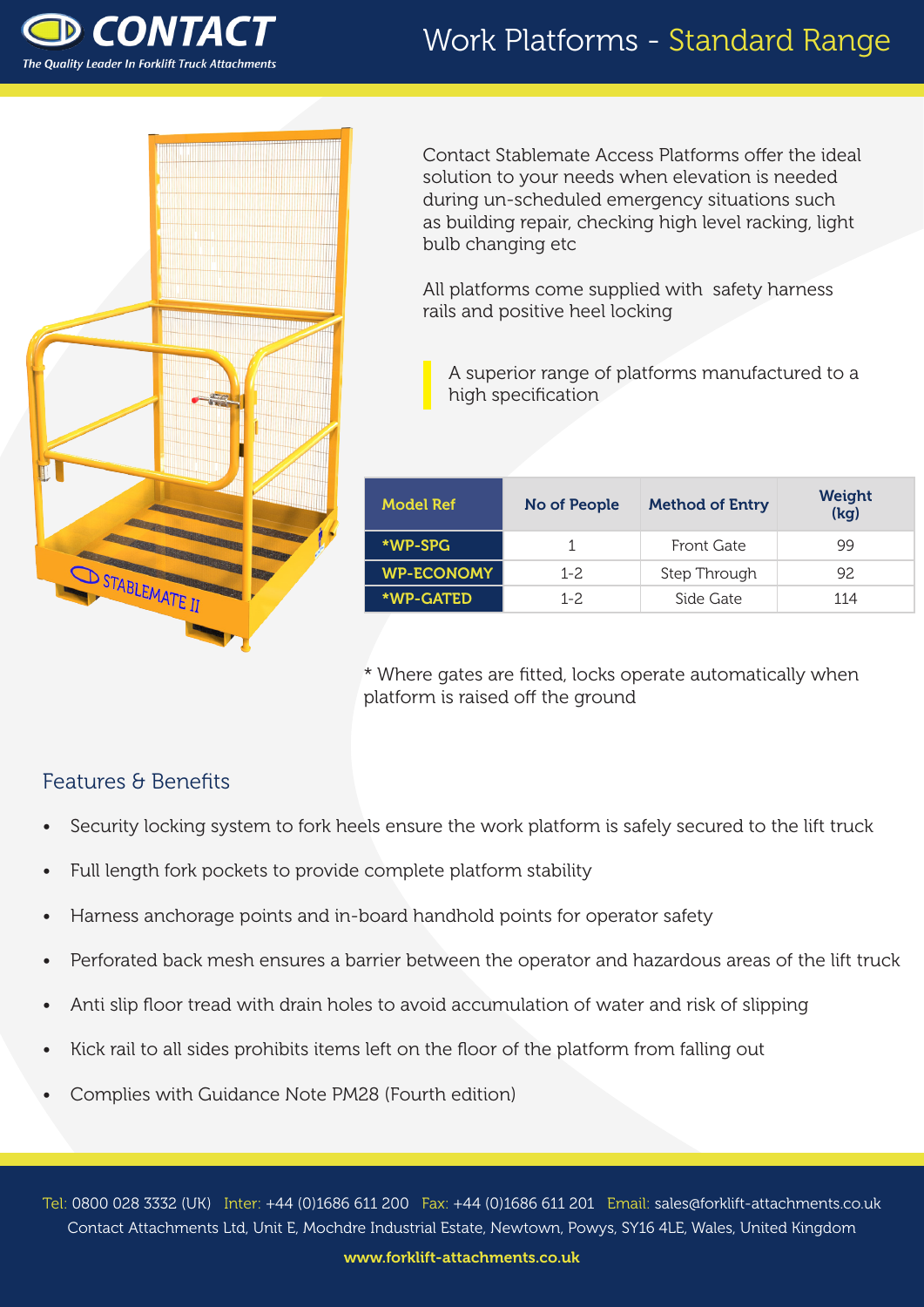

#### Work Platforms - Standard Range



Contact Stablemate Access Platforms offer the ideal solution to your needs when elevation is needed during un-scheduled emergency situations such as building repair, checking high level racking, light bulb changing etc

All platforms come supplied with safety harness rails and positive heel locking

A superior range of platforms manufactured to a high specification

| Model Ref         | No of People | <b>Method of Entry</b> | Weight<br>(kq) |  |
|-------------------|--------------|------------------------|----------------|--|
| *WP-SPG           |              | Front Gate             | 99             |  |
| <b>WP-ECONOMY</b> | $1 - 2$      | Step Through           | 92             |  |
| *WP-GATED         | $1 - 2.$     | Side Gate              | 114            |  |

\* Where gates are fitted, locks operate automatically when platform is raised off the ground

#### Features & Benefits

- Security locking system to fork heels ensure the work platform is safely secured to the lift truck
- Full length fork pockets to provide complete platform stability
- Harness anchorage points and in-board handhold points for operator safety
- Perforated back mesh ensures a barrier between the operator and hazardous areas of the lift truck
- Anti slip floor tread with drain holes to avoid accumulation of water and risk of slipping
- Kick rail to all sides prohibits items left on the floor of the platform from falling out
- Complies with Guidance Note PM28 (Fourth edition)

Tel: 0800 028 3332 (UK) Inter: +44 (0)1686 611 200 Fax: +44 (0)1686 611 201 Email: sales@forklift-attachments.co.uk Contact Attachments Ltd, Unit E, Mochdre Industrial Estate, Newtown, Powys, SY16 4LE, Wales, United Kingdom

www.forklift-attachments.co.uk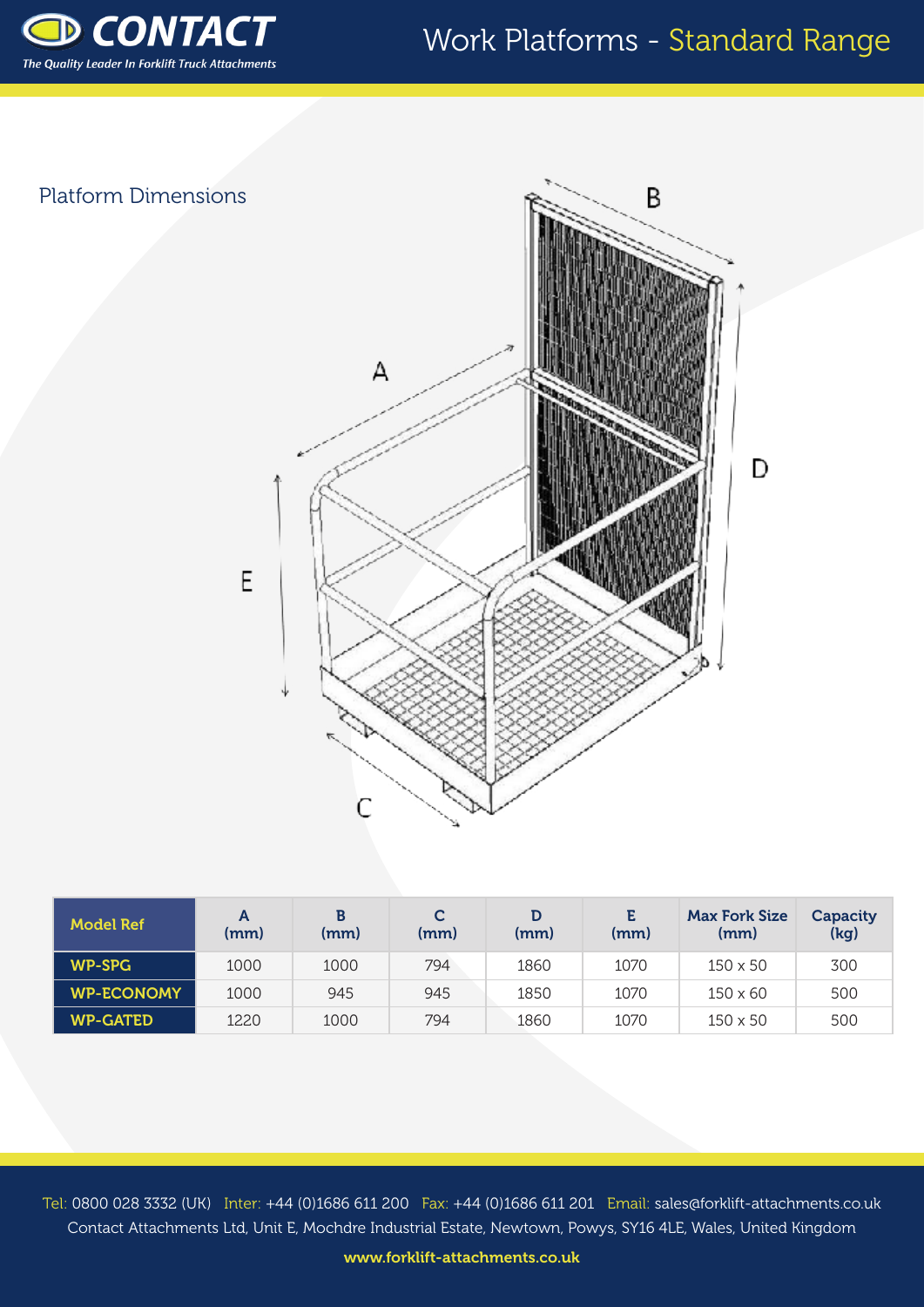

### Work Platforms - Standard Range

D

# Platform Dimensions B А E

| <b>Model Ref</b>  | А<br>(mm) | (mm) | C<br>(mm) | (mm) | Е.<br>(mm) | <b>Max Fork Size</b><br>(mm) | Capacity<br>(kg) |
|-------------------|-----------|------|-----------|------|------------|------------------------------|------------------|
| <b>WP-SPG</b>     | 1000      | 1000 | 794       | 1860 | 1070       | $150 \times 50$              | 300              |
| <b>WP-ECONOMY</b> | 1000      | 945  | 945       | 1850 | 1070       | $150 \times 60$              | 500              |
| <b>WP-GATED</b>   | 1220      | 1000 | 794       | 1860 | 1070       | $150 \times 50$              | 500              |

 $\overline{C}$ 

Tel: 0800 028 3332 (UK) Inter: +44 (0)1686 611 200 Fax: +44 (0)1686 611 201 Email: sales@forklift-attachments.co.uk Contact Attachments Ltd, Unit E, Mochdre Industrial Estate, Newtown, Powys, SY16 4LE, Wales, United Kingdom

www.forklift-attachments.co.uk